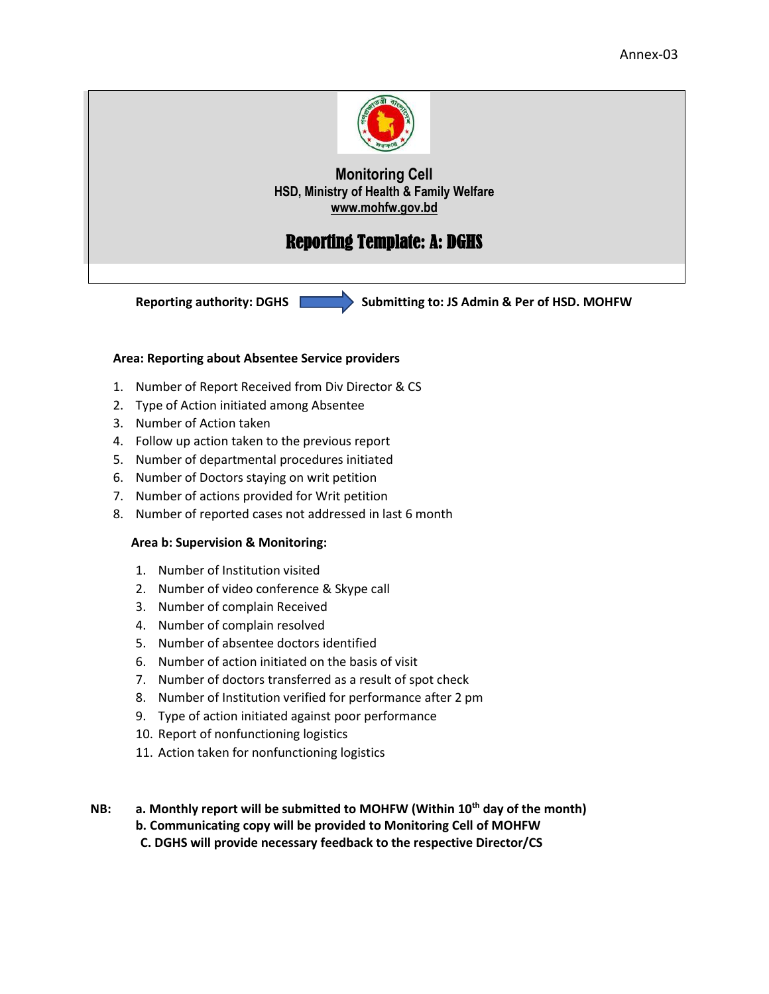

## Reporting Template: A: DGHS

**Reporting authority: DGHS Submitting to: JS Admin & Per of HSD. MOHFW**

#### **Area: Reporting about Absentee Service providers**

- 1. Number of Report Received from Div Director & CS
- 2. Type of Action initiated among Absentee
- 3. Number of Action taken
- 4. Follow up action taken to the previous report
- 5. Number of departmental procedures initiated
- 6. Number of Doctors staying on writ petition
- 7. Number of actions provided for Writ petition
- 8. Number of reported cases not addressed in last 6 month

#### **Area b: Supervision & Monitoring:**

- 1. Number of Institution visited
- 2. Number of video conference & Skype call
- 3. Number of complain Received
- 4. Number of complain resolved
- 5. Number of absentee doctors identified
- 6. Number of action initiated on the basis of visit
- 7. Number of doctors transferred as a result of spot check
- 8. Number of Institution verified for performance after 2 pm
- 9. Type of action initiated against poor performance
- 10. Report of nonfunctioning logistics
- 11. Action taken for nonfunctioning logistics

**NB: a. Monthly report will be submitted to MOHFW (Within 10th day of the month) b. Communicating copy will be provided to Monitoring Cell of MOHFW C. DGHS will provide necessary feedback to the respective Director/CS**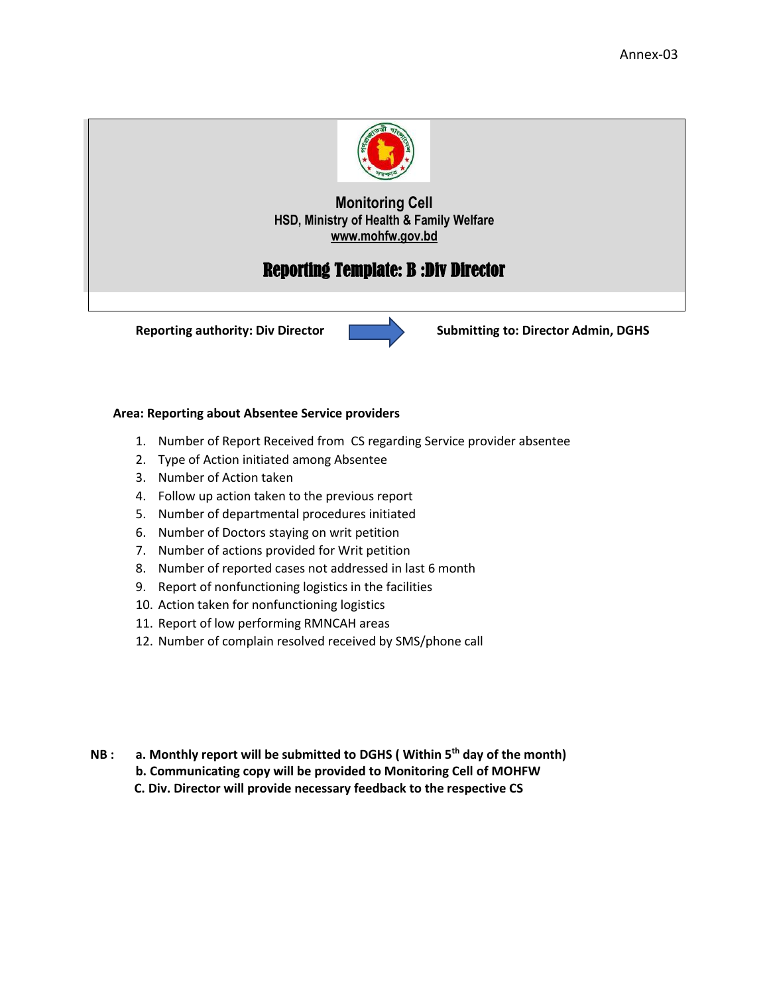

# Reporting Template: B :Div Director



**Reporting authority: Div Director**  $\qquad \qquad$  **Submitting to: Director Admin, DGHS** 

#### **Area: Reporting about Absentee Service providers**

- 1. Number of Report Received from CS regarding Service provider absentee
- 2. Type of Action initiated among Absentee
- 3. Number of Action taken
- 4. Follow up action taken to the previous report
- 5. Number of departmental procedures initiated
- 6. Number of Doctors staying on writ petition
- 7. Number of actions provided for Writ petition
- 8. Number of reported cases not addressed in last 6 month
- 9. Report of nonfunctioning logistics in the facilities
- 10. Action taken for nonfunctioning logistics
- 11. Report of low performing RMNCAH areas
- 12. Number of complain resolved received by SMS/phone call
- **NB : a. Monthly report will be submitted to DGHS ( Within 5th day of the month)**
	- **b. Communicating copy will be provided to Monitoring Cell of MOHFW**
	- **C. Div. Director will provide necessary feedback to the respective CS**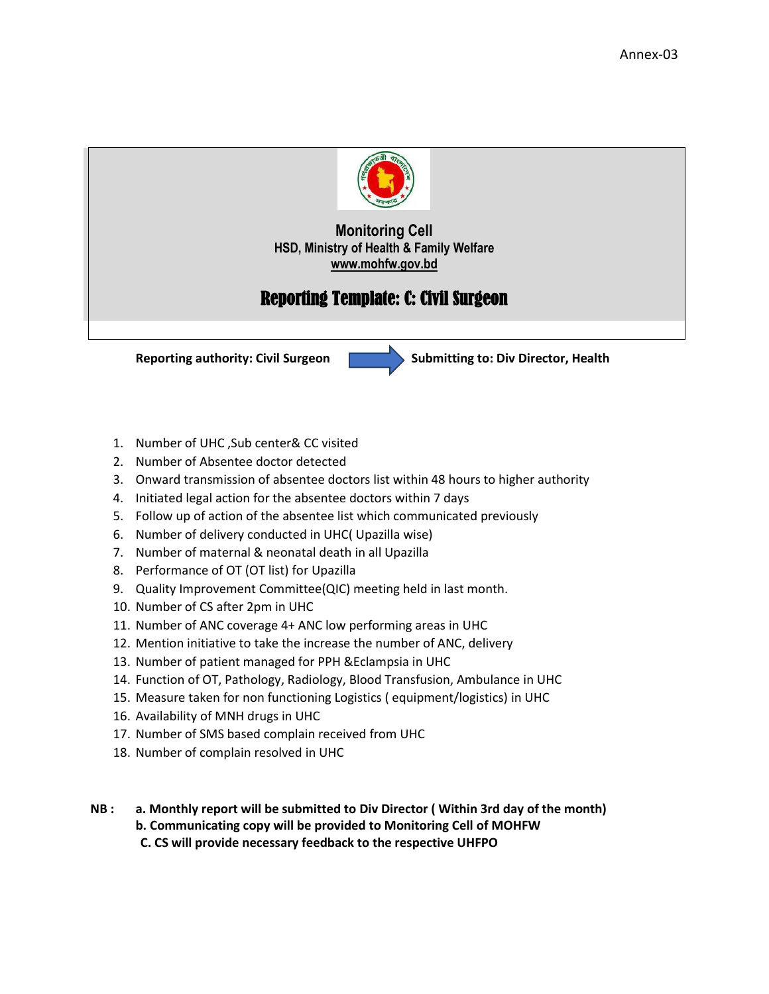

# Reporting Template: C: Civil Surgeon



- 1. Number of UHC ,Sub center& CC visited
- 2. Number of Absentee doctor detected
- 3. Onward transmission of absentee doctors list within 48 hours to higher authority
- 4. Initiated legal action for the absentee doctors within 7 days
- 5. Follow up of action of the absentee list which communicated previously
- 6. Number of delivery conducted in UHC( Upazilla wise)
- 7. Number of maternal & neonatal death in all Upazilla
- 8. Performance of OT (OT list) for Upazilla
- 9. Quality Improvement Committee(QIC) meeting held in last month.
- 10. Number of CS after 2pm in UHC
- 11. Number of ANC coverage 4+ ANC low performing areas in UHC
- 12. Mention initiative to take the increase the number of ANC, delivery
- 13. Number of patient managed for PPH &Eclampsia in UHC
- 14. Function of OT, Pathology, Radiology, Blood Transfusion, Ambulance in UHC
- 15. Measure taken for non functioning Logistics ( equipment/logistics) in UHC
- 16. Availability of MNH drugs in UHC
- 17. Number of SMS based complain received from UHC
- 18. Number of complain resolved in UHC
- **NB : a. Monthly report will be submitted to Div Director ( Within 3rd day of the month) b. Communicating copy will be provided to Monitoring Cell of MOHFW C. CS will provide necessary feedback to the respective UHFPO**